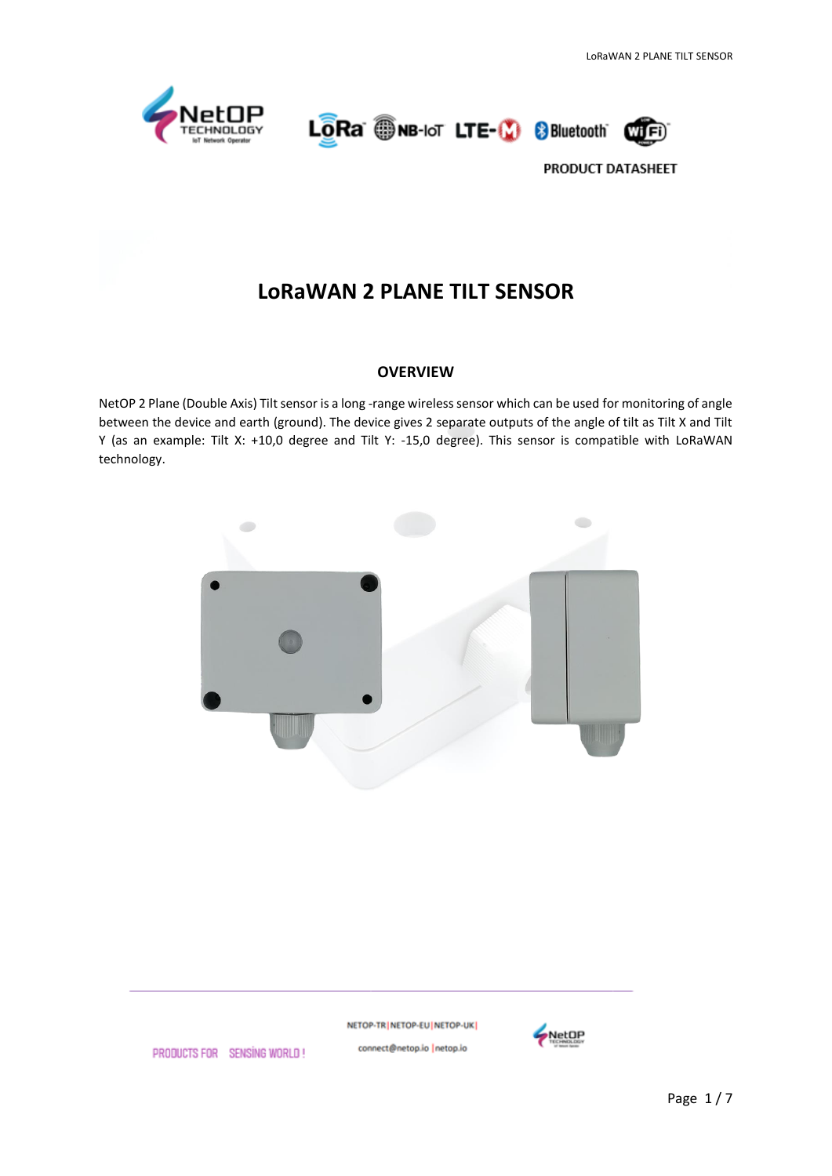





# **LoRaWAN 2 PLANE TILT SENSOR**

#### **OVERVIEW**

NetOP 2 Plane (Double Axis) Tilt sensor is a long -range wireless sensor which can be used for monitoring of angle between the device and earth (ground). The device gives 2 separate outputs of the angle of tilt as Tilt X and Tilt Y (as an example: Tilt X: +10,0 degree and Tilt Y: -15,0 degree). This sensor is compatible with LoRaWAN technology.



NETOP-TR NETOP-EU NETOP-UK connect@netop.io |netop.io



PRODUCTS FOR SENSING WORLD!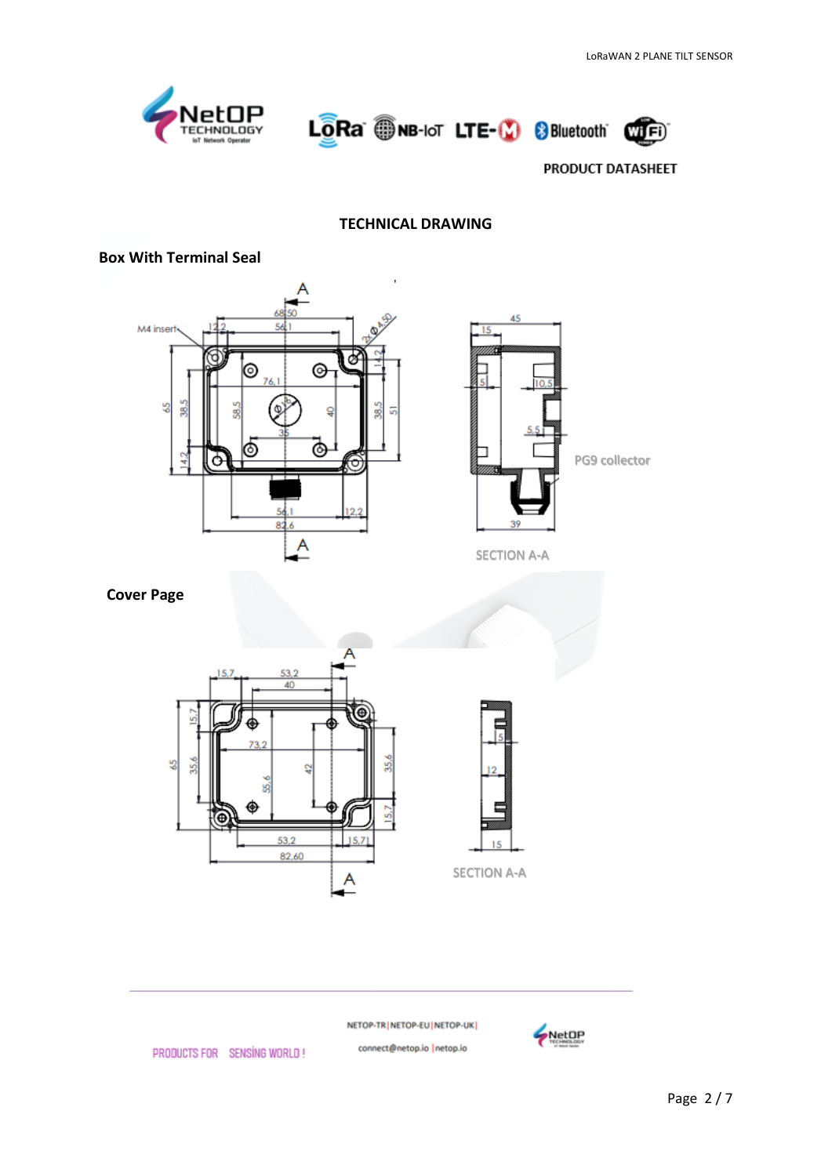





#### **TECHNICAL DRAWING**

## **Box With Terminal Seal**





SECTION A-A

 **Cover Page**



NETOP-TR | NETOP-EU | NETOP-UK |

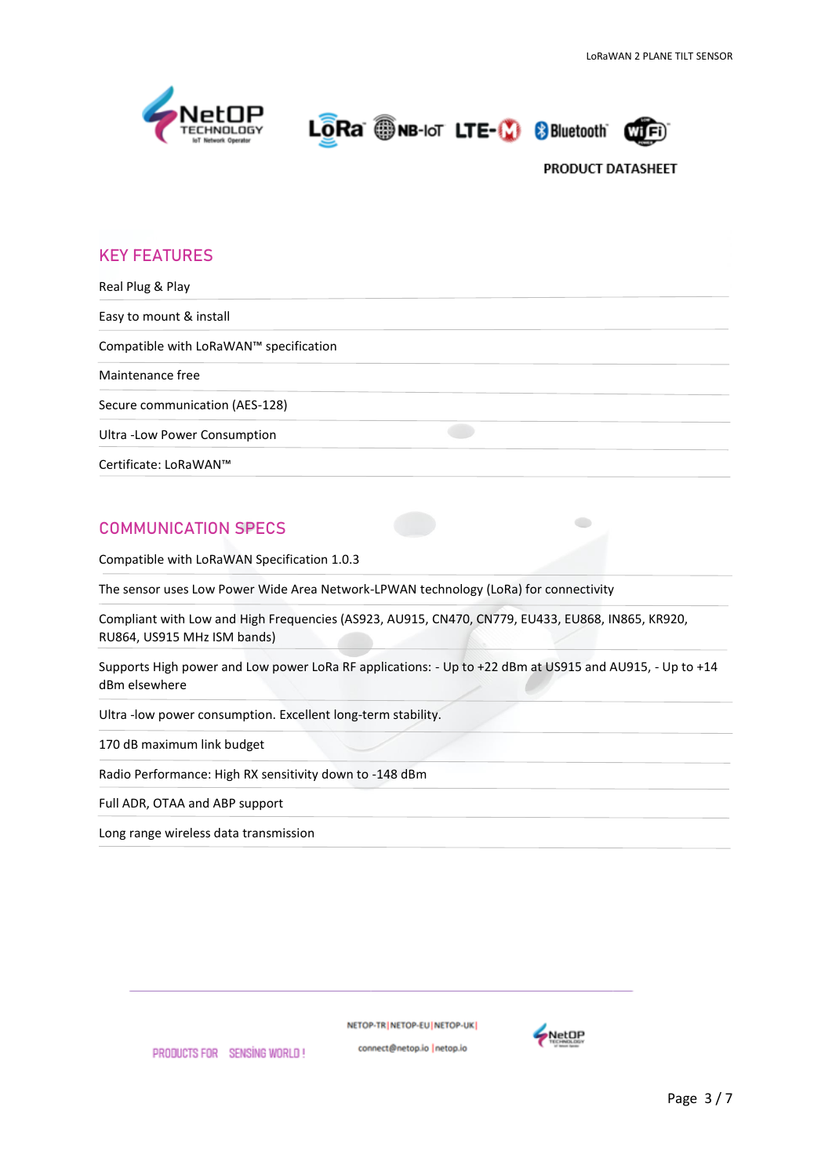

LORA WINB-IoT LTE-19 8 Bluetooth



## **KEY FEATURES**

Real Plug & Play Easy to mount & install Compatible with LoRaWAN™ specification Maintenance free Secure communication (AES-128) Ultra -Low Power Consumption Certificate: LoRaWAN™

# **COMMUNICATION SPECS**

Compatible with LoRaWAN Specification 1.0.3

The sensor uses Low Power Wide Area Network-LPWAN technology (LoRa) for connectivity

Compliant with Low and High Frequencies (AS923, AU915, CN470, CN779, EU433, EU868, IN865, KR920, RU864, US915 MHz ISM bands)

Supports High power and Low power LoRa RF applications: - Up to +22 dBm at US915 and AU915, - Up to +14 dBm elsewhere

Ultra -low power consumption. Excellent long-term stability.

170 dB maximum link budget

Radio Performance: High RX sensitivity down to -148 dBm

Full ADR, OTAA and ABP support

Long range wireless data transmission

NETOP-TRINETOP-EUINETOP-UK

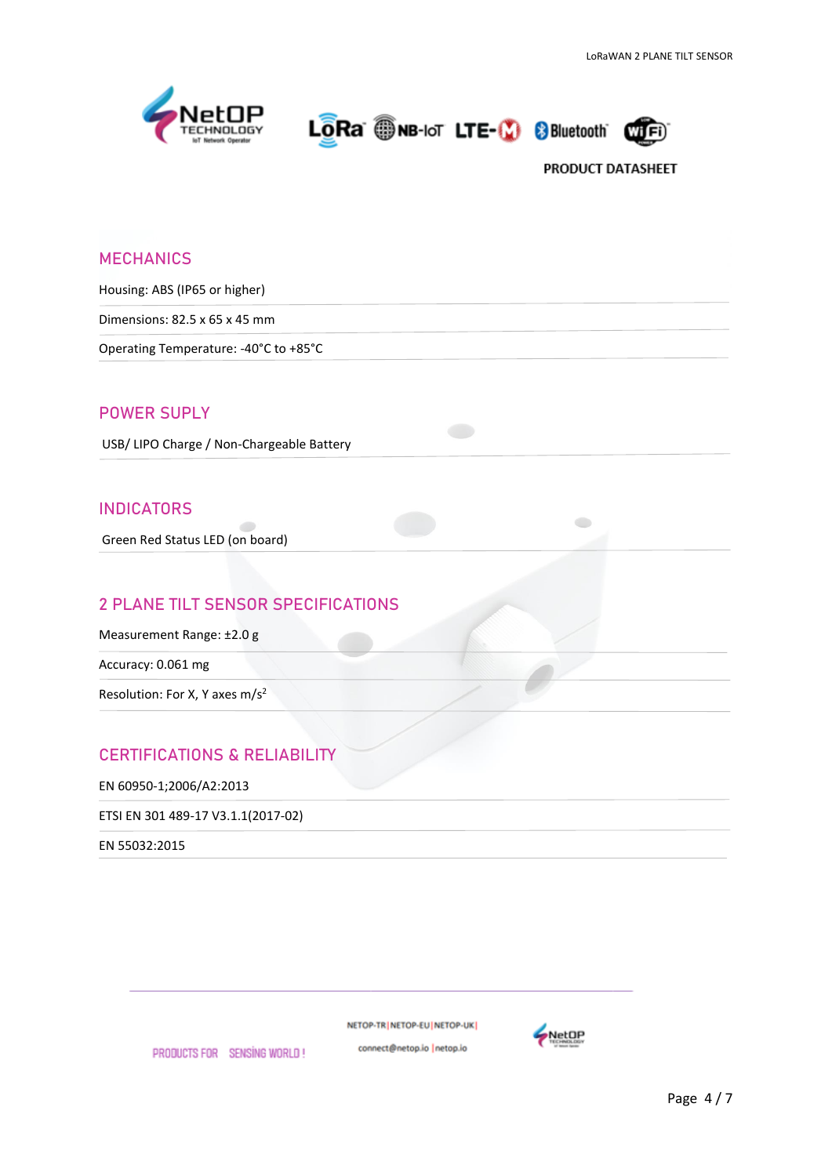





| <b>MECHANICS</b>                           |
|--------------------------------------------|
| Housing: ABS (IP65 or higher)              |
| Dimensions: 82.5 x 65 x 45 mm              |
| Operating Temperature: - 40°C to +85°C     |
|                                            |
| <b>POWER SUPLY</b>                         |
| USB/ LIPO Charge / Non-Chargeable Battery  |
| <b>INDICATORS</b>                          |
| Green Red Status LED (on board)            |
|                                            |
| <b>2 PLANE TILT SENSOR SPECIFICATIONS</b>  |
| Measurement Range: ±2.0 g                  |
| Accuracy: 0.061 mg                         |
| Resolution: For X, Y axes m/s <sup>2</sup> |
|                                            |
| <b>CERTIFICATIONS &amp; RELIABILITY</b>    |
| EN 60950-1;2006/A2:2013                    |
| ETSI EN 301 489-17 V3.1.1(2017-02)         |

EN 55032:2015

PRODUCTS FOR SENSING WORLD!

NETOP-TR | NETOP-EU | NETOP-UK |

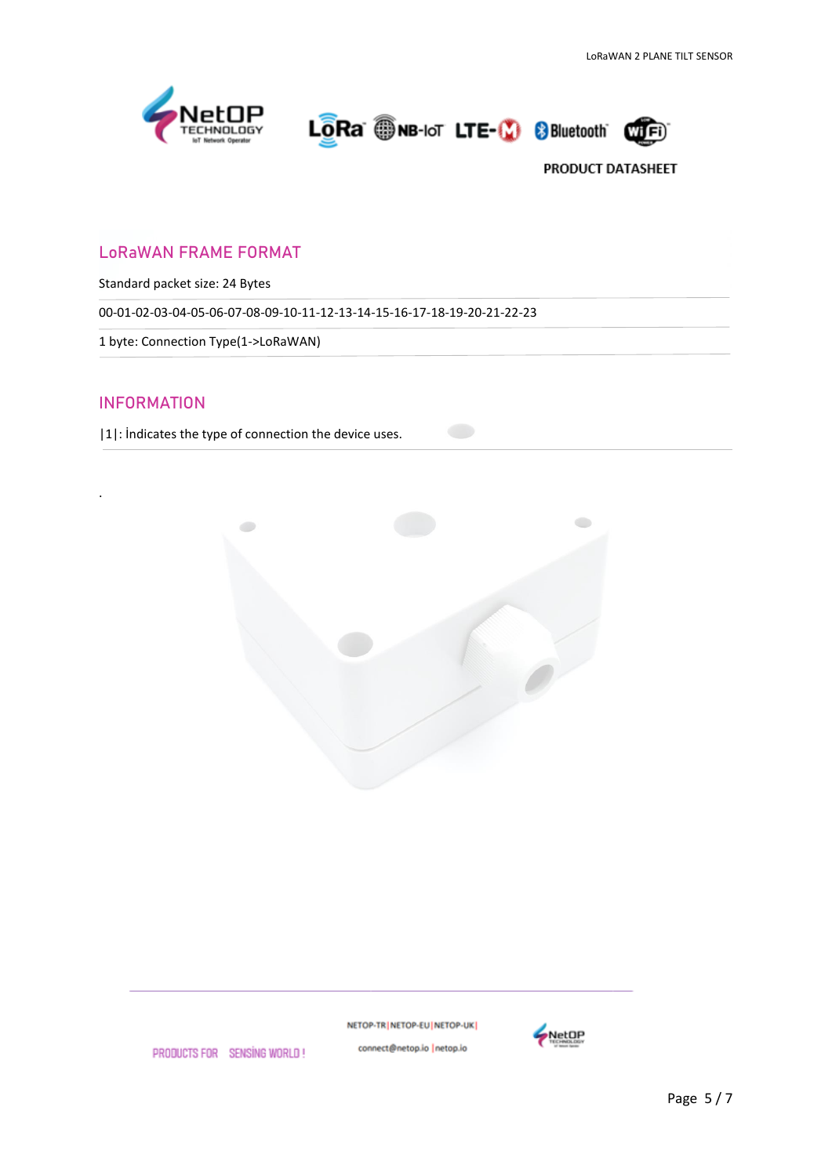





# LoRaWAN FRAME FORMAT

Standard packet size: 24 Bytes

00-01-02-03-04-05-06-07-08-09-10-11-12-13-14-15-16-17-18-19-20-21-22-23

1 byte: Connection Type(1->LoRaWAN)

## INFORMATION

.

|1|: İndicates the type of connection the device uses.



NETOP-TR | NETOP-EU | NETOP-UK |



PRODUCTS FOR SENSING WORLD!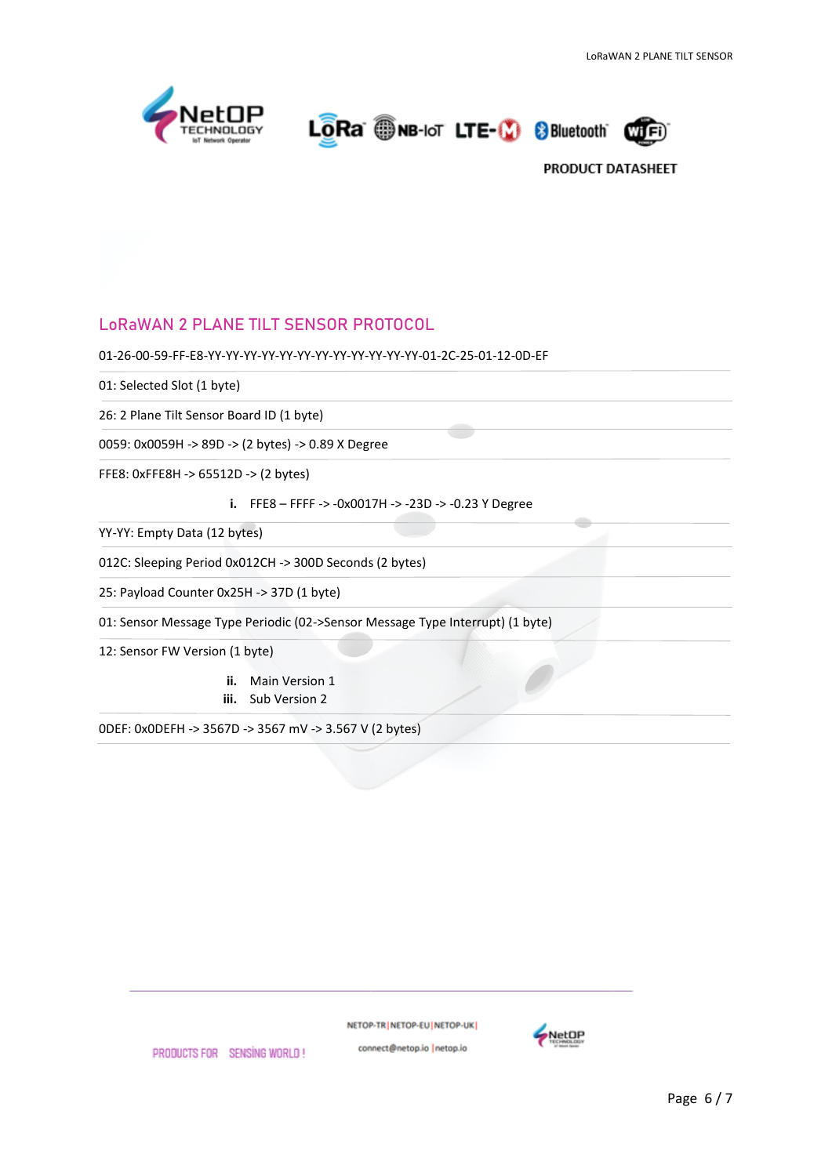

LORa ONB-IoT LTE-10 8 Bluetooth



# LoRaWAN 2 PLANE TILT SENSOR PROTOCOL

01-26-00-59-FF-E8-YY-YY-YY-YY-YY-YY-YY-YY-YY-YY-YY-YY-01-2C-25-01-12-0D-EF

01: Selected Slot (1 byte)

26: 2 Plane Tilt Sensor Board ID (1 byte)

0059: 0x0059H -> 89D -> (2 bytes) -> 0.89 X Degree

FFE8: 0xFFE8H -> 65512D -> (2 bytes)

**i.** FFE8 – FFFF -> -0x0017H -> -23D -> -0.23 Y Degree

YY-YY: Empty Data (12 bytes)

012C: Sleeping Period 0x012CH -> 300D Seconds (2 bytes)

25: Payload Counter 0x25H -> 37D (1 byte)

01: Sensor Message Type Periodic (02->Sensor Message Type Interrupt) (1 byte)

12: Sensor FW Version (1 byte)

**ii.** Main Version 1 **iii.** Sub Version 2

0DEF: 0x0DEFH -> 3567D -> 3567 mV -> 3.567 V (2 bytes)

NETOP-TR NETOP-EU NETOP-UK



PRODUCTS FOR SENSING WORLD!